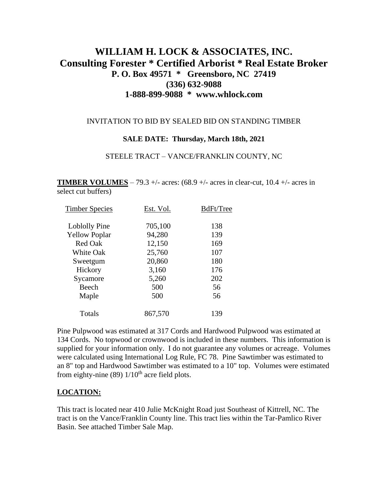# **WILLIAM H. LOCK & ASSOCIATES, INC. Consulting Forester \* Certified Arborist \* Real Estate Broker P. O. Box 49571 \* Greensboro, NC 27419 (336) 632-9088 1-888-899-9088 \* www.whlock.com**

### INVITATION TO BID BY SEALED BID ON STANDING TIMBER

## **SALE DATE: Thursday, March 18th, 2021**

#### STEELE TRACT – VANCE/FRANKLIN COUNTY, NC

**TIMBER VOLUMES** – 79.3 +/- acres:  $(68.9 +/- \text{ acres in clear-cut}, 10.4 +/- \text{ acres in})$ select cut buffers)

| Est. Vol. | BdFt/Tree |
|-----------|-----------|
| 705,100   | 138       |
| 94,280    | 139       |
| 12,150    | 169       |
| 25,760    | 107       |
| 20,860    | 180       |
| 3,160     | 176       |
| 5,260     | 202       |
| 500       | 56        |
| 500       | 56        |
| 867,570   | 139       |
|           |           |

Pine Pulpwood was estimated at 317 Cords and Hardwood Pulpwood was estimated at 134 Cords. No topwood or crownwood is included in these numbers. This information is supplied for your information only. I do not guarantee any volumes or acreage. Volumes were calculated using International Log Rule, FC 78. Pine Sawtimber was estimated to an 8" top and Hardwood Sawtimber was estimated to a 10" top. Volumes were estimated from eighty-nine (89)  $1/10^{th}$  acre field plots.

## **LOCATION:**

This tract is located near 410 Julie McKnight Road just Southeast of Kittrell, NC. The tract is on the Vance/Franklin County line. This tract lies within the Tar-Pamlico River Basin. See attached Timber Sale Map.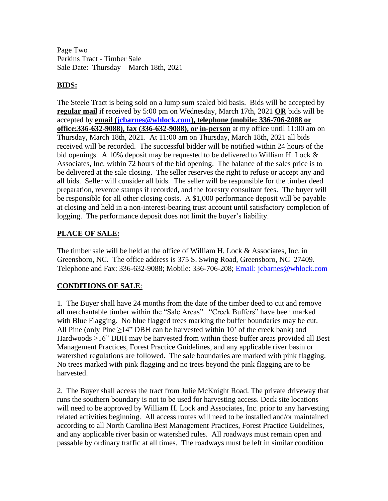Page Two Perkins Tract - Timber Sale Sale Date: Thursday – March 18th, 2021

# **BIDS:**

The Steele Tract is being sold on a lump sum sealed bid basis. Bids will be accepted by **regular mail** if received by 5:00 pm on Wednesday, March 17th, 2021 **OR** bids will be accepted by **email [\(jcbarnes@whlock.com\)](mailto:jcbarnes@whlock.com), telephone (mobile: 336-706-2088 or office:336-632-9088), fax (336-632-9088), or in-person** at my office until 11:00 am on Thursday, March 18th, 2021. At 11:00 am on Thursday, March 18th, 2021 all bids received will be recorded. The successful bidder will be notified within 24 hours of the bid openings. A 10% deposit may be requested to be delivered to William H. Lock  $\&$ Associates, Inc. within 72 hours of the bid opening. The balance of the sales price is to be delivered at the sale closing. The seller reserves the right to refuse or accept any and all bids. Seller will consider all bids. The seller will be responsible for the timber deed preparation, revenue stamps if recorded, and the forestry consultant fees. The buyer will be responsible for all other closing costs. A \$1,000 performance deposit will be payable at closing and held in a non-interest-bearing trust account until satisfactory completion of logging. The performance deposit does not limit the buyer's liability.

# **PLACE OF SALE:**

The timber sale will be held at the office of William H. Lock & Associates, Inc. in Greensboro, NC. The office address is 375 S. Swing Road, Greensboro, NC 27409. Telephone and Fax: 336-632-9088; Mobile: 336-706-208; [Email: jcbarnes@whlock.com](mailto:Email:%20jcbarnes@whlock.com) 

# **CONDITIONS OF SALE**:

1. The Buyer shall have 24 months from the date of the timber deed to cut and remove all merchantable timber within the "Sale Areas". "Creek Buffers" have been marked with Blue Flagging. No blue flagged trees marking the buffer boundaries may be cut. All Pine (only Pine  $\geq 14$ " DBH can be harvested within 10' of the creek bank) and Hardwoods >16" DBH may be harvested from within these buffer areas provided all Best Management Practices, Forest Practice Guidelines, and any applicable river basin or watershed regulations are followed. The sale boundaries are marked with pink flagging. No trees marked with pink flagging and no trees beyond the pink flagging are to be harvested.

2. The Buyer shall access the tract from Julie McKnight Road. The private driveway that runs the southern boundary is not to be used for harvesting access. Deck site locations will need to be approved by William H. Lock and Associates, Inc. prior to any harvesting related activities beginning. All access routes will need to be installed and/or maintained according to all North Carolina Best Management Practices, Forest Practice Guidelines, and any applicable river basin or watershed rules. All roadways must remain open and passable by ordinary traffic at all times. The roadways must be left in similar condition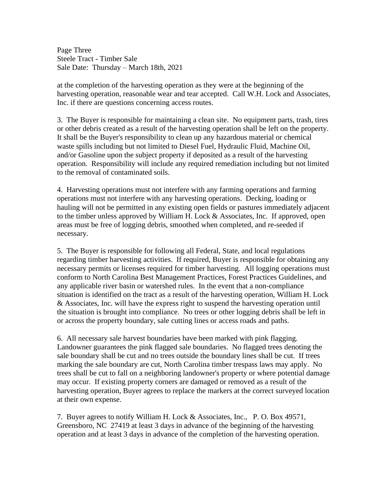Page Three Steele Tract - Timber Sale Sale Date: Thursday – March 18th, 2021

at the completion of the harvesting operation as they were at the beginning of the harvesting operation, reasonable wear and tear accepted. Call W.H. Lock and Associates, Inc. if there are questions concerning access routes.

3. The Buyer is responsible for maintaining a clean site. No equipment parts, trash, tires or other debris created as a result of the harvesting operation shall be left on the property. It shall be the Buyer's responsibility to clean up any hazardous material or chemical waste spills including but not limited to Diesel Fuel, Hydraulic Fluid, Machine Oil, and/or Gasoline upon the subject property if deposited as a result of the harvesting operation. Responsibility will include any required remediation including but not limited to the removal of contaminated soils.

4. Harvesting operations must not interfere with any farming operations and farming operations must not interfere with any harvesting operations. Decking, loading or hauling will not be permitted in any existing open fields or pastures immediately adjacent to the timber unless approved by William H. Lock & Associates, Inc. If approved, open areas must be free of logging debris, smoothed when completed, and re-seeded if necessary.

5. The Buyer is responsible for following all Federal, State, and local regulations regarding timber harvesting activities. If required, Buyer is responsible for obtaining any necessary permits or licenses required for timber harvesting. All logging operations must conform to North Carolina Best Management Practices, Forest Practices Guidelines, and any applicable river basin or watershed rules. In the event that a non-compliance situation is identified on the tract as a result of the harvesting operation, William H. Lock & Associates, Inc. will have the express right to suspend the harvesting operation until the situation is brought into compliance. No trees or other logging debris shall be left in or across the property boundary, sale cutting lines or access roads and paths.

6. All necessary sale harvest boundaries have been marked with pink flagging. Landowner guarantees the pink flagged sale boundaries. No flagged trees denoting the sale boundary shall be cut and no trees outside the boundary lines shall be cut. If trees marking the sale boundary are cut, North Carolina timber trespass laws may apply. No trees shall be cut to fall on a neighboring landowner's property or where potential damage may occur. If existing property corners are damaged or removed as a result of the harvesting operation, Buyer agrees to replace the markers at the correct surveyed location at their own expense.

7. Buyer agrees to notify William H. Lock & Associates, Inc., P. O. Box 49571, Greensboro, NC 27419 at least 3 days in advance of the beginning of the harvesting operation and at least 3 days in advance of the completion of the harvesting operation.